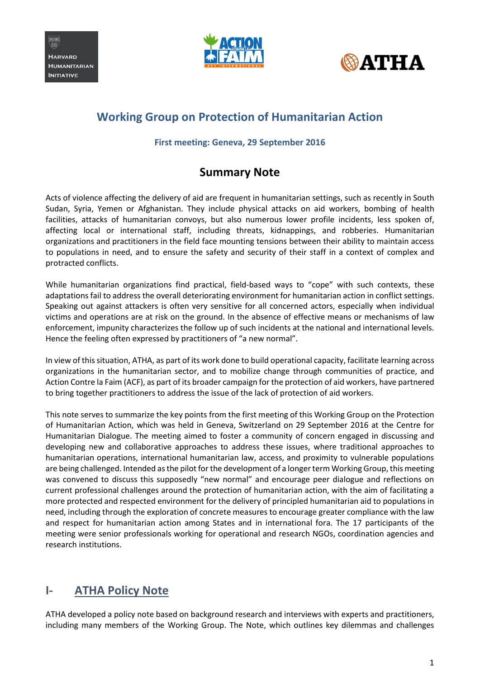





# **Working Group on Protection of Humanitarian Action**

#### **First meeting: Geneva, 29 September 2016**

#### **Summary Note**

Acts of violence affecting the delivery of aid are frequent in humanitarian settings, such as recently in South Sudan, Syria, Yemen or Afghanistan. They include physical attacks on aid workers, bombing of health facilities, attacks of humanitarian convoys, but also numerous lower profile incidents, less spoken of, affecting local or international staff, including threats, kidnappings, and robberies. Humanitarian organizations and practitioners in the field face mounting tensions between their ability to maintain access to populations in need, and to ensure the safety and security of their staff in a context of complex and protracted conflicts.

While humanitarian organizations find practical, field-based ways to "cope" with such contexts, these adaptations fail to address the overall deteriorating environment for humanitarian action in conflict settings. Speaking out against attackers is often very sensitive for all concerned actors, especially when individual victims and operations are at risk on the ground. In the absence of effective means or mechanisms of law enforcement, impunity characterizes the follow up of such incidents at the national and international levels. Hence the feeling often expressed by practitioners of "a new normal".

In view of this situation, ATHA, as part of its work done to build operational capacity, facilitate learning across organizations in the humanitarian sector, and to mobilize change through communities of practice, and Action Contre la Faim (ACF), as part of its broader campaign for the protection of aid workers, have partnered to bring together practitioners to address the issue of the lack of protection of aid workers.

This note serves to summarize the key points from the first meeting of this Working Group on the Protection of Humanitarian Action, which was held in Geneva, Switzerland on 29 September 2016 at the Centre for Humanitarian Dialogue. The meeting aimed to foster a community of concern engaged in discussing and developing new and collaborative approaches to address these issues, where traditional approaches to humanitarian operations, international humanitarian law, access, and proximity to vulnerable populations are being challenged. Intended as the pilot for the development of a longer term Working Group, this meeting was convened to discuss this supposedly "new normal" and encourage peer dialogue and reflections on current professional challenges around the protection of humanitarian action, with the aim of facilitating a more protected and respected environment for the delivery of principled humanitarian aid to populations in need, including through the exploration of concrete measures to encourage greater compliance with the law and respect for humanitarian action among States and in international fora. The 17 participants of the meeting were senior professionals working for operational and research NGOs, coordination agencies and research institutions.

### **I- ATHA Policy Note**

ATHA developed a policy note based on background research and interviews with experts and practitioners, including many members of the Working Group. The Note, which outlines key dilemmas and challenges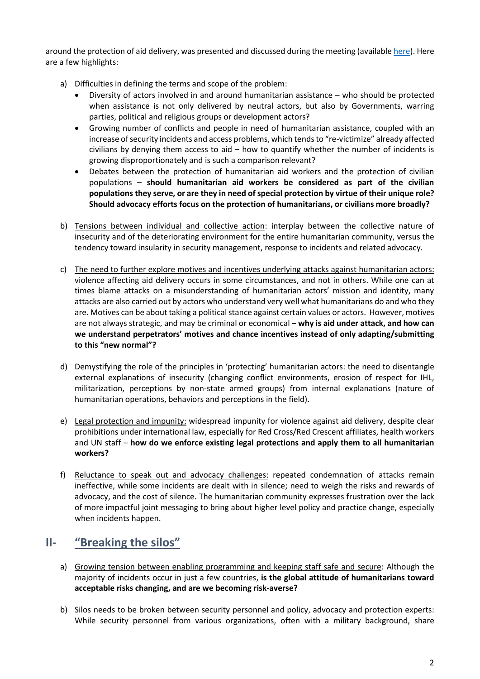around the protection of aid delivery, was presented and discussed during the meeting (availabl[e here\)](http://www.atha.se/thematicbrief/protecting-humanitarian-action-key-challenges-and-lessons-field). Here are a few highlights:

- a) Difficulties in defining the terms and scope of the problem:
	- Diversity of actors involved in and around humanitarian assistance who should be protected when assistance is not only delivered by neutral actors, but also by Governments, warring parties, political and religious groups or development actors?
	- Growing number of conflicts and people in need of humanitarian assistance, coupled with an increase of security incidents and access problems, which tends to "re-victimize" already affected civilians by denying them access to aid – how to quantify whether the number of incidents is growing disproportionately and is such a comparison relevant?
	- Debates between the protection of humanitarian aid workers and the protection of civilian populations – **should humanitarian aid workers be considered as part of the civilian populations they serve, or are they in need of special protection by virtue of their unique role? Should advocacy efforts focus on the protection of humanitarians, or civilians more broadly?**
- b) Tensions between individual and collective action: interplay between the collective nature of insecurity and of the deteriorating environment for the entire humanitarian community, versus the tendency toward insularity in security management, response to incidents and related advocacy.
- c) The need to further explore motives and incentives underlying attacks against humanitarian actors: violence affecting aid delivery occurs in some circumstances, and not in others. While one can at times blame attacks on a misunderstanding of humanitarian actors' mission and identity, many attacks are also carried out by actors who understand very well what humanitarians do and who they are. Motives can be about taking a political stance against certain values or actors. However, motives are not always strategic, and may be criminal or economical – **why is aid under attack, and how can we understand perpetrators' motives and chance incentives instead of only adapting/submitting to this "new normal"?**
- d) Demystifying the role of the principles in 'protecting' humanitarian actors: the need to disentangle external explanations of insecurity (changing conflict environments, erosion of respect for IHL, militarization, perceptions by non-state armed groups) from internal explanations (nature of humanitarian operations, behaviors and perceptions in the field).
- e) Legal protection and impunity: widespread impunity for violence against aid delivery, despite clear prohibitions under international law, especially for Red Cross/Red Crescent affiliates, health workers and UN staff – **how do we enforce existing legal protections and apply them to all humanitarian workers?**
- f) Reluctance to speak out and advocacy challenges: repeated condemnation of attacks remain ineffective, while some incidents are dealt with in silence; need to weigh the risks and rewards of advocacy, and the cost of silence. The humanitarian community expresses frustration over the lack of more impactful joint messaging to bring about higher level policy and practice change, especially when incidents happen.

### **II- "Breaking the silos"**

- a) Growing tension between enabling programming and keeping staff safe and secure: Although the majority of incidents occur in just a few countries, **is the global attitude of humanitarians toward acceptable risks changing, and are we becoming risk-averse?**
- b) Silos needs to be broken between security personnel and policy, advocacy and protection experts: While security personnel from various organizations, often with a military background, share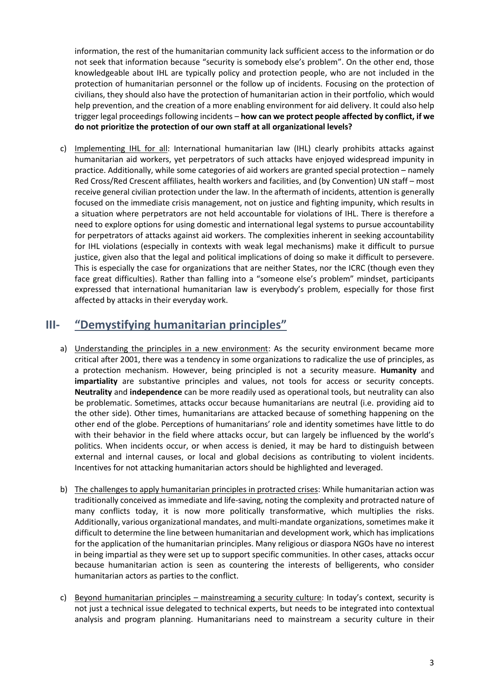information, the rest of the humanitarian community lack sufficient access to the information or do not seek that information because "security is somebody else's problem". On the other end, those knowledgeable about IHL are typically policy and protection people, who are not included in the protection of humanitarian personnel or the follow up of incidents. Focusing on the protection of civilians, they should also have the protection of humanitarian action in their portfolio, which would help prevention, and the creation of a more enabling environment for aid delivery. It could also help trigger legal proceedings following incidents – **how can we protect people affected by conflict, if we do not prioritize the protection of our own staff at all organizational levels?**

c) Implementing IHL for all: International humanitarian law (IHL) clearly prohibits attacks against humanitarian aid workers, yet perpetrators of such attacks have enjoyed widespread impunity in practice. Additionally, while some categories of aid workers are granted special protection – namely Red Cross/Red Crescent affiliates, health workers and facilities, and (by Convention) UN staff – most receive general civilian protection under the law. In the aftermath of incidents, attention is generally focused on the immediate crisis management, not on justice and fighting impunity, which results in a situation where perpetrators are not held accountable for violations of IHL. There is therefore a need to explore options for using domestic and international legal systems to pursue accountability for perpetrators of attacks against aid workers. The complexities inherent in seeking accountability for IHL violations (especially in contexts with weak legal mechanisms) make it difficult to pursue justice, given also that the legal and political implications of doing so make it difficult to persevere. This is especially the case for organizations that are neither States, nor the ICRC (though even they face great difficulties). Rather than falling into a "someone else's problem" mindset, participants expressed that international humanitarian law is everybody's problem, especially for those first affected by attacks in their everyday work.

# **III- "Demystifying humanitarian principles"**

- a) Understanding the principles in a new environment: As the security environment became more critical after 2001, there was a tendency in some organizations to radicalize the use of principles, as a protection mechanism. However, being principled is not a security measure. **Humanity** and **impartiality** are substantive principles and values, not tools for access or security concepts. **Neutrality** and **independence** can be more readily used as operational tools, but neutrality can also be problematic. Sometimes, attacks occur because humanitarians are neutral (i.e. providing aid to the other side). Other times, humanitarians are attacked because of something happening on the other end of the globe. Perceptions of humanitarians' role and identity sometimes have little to do with their behavior in the field where attacks occur, but can largely be influenced by the world's politics. When incidents occur, or when access is denied, it may be hard to distinguish between external and internal causes, or local and global decisions as contributing to violent incidents. Incentives for not attacking humanitarian actors should be highlighted and leveraged.
- b) The challenges to apply humanitarian principles in protracted crises: While humanitarian action was traditionally conceived as immediate and life-saving, noting the complexity and protracted nature of many conflicts today, it is now more politically transformative, which multiplies the risks. Additionally, various organizational mandates, and multi-mandate organizations, sometimes make it difficult to determine the line between humanitarian and development work, which has implications for the application of the humanitarian principles. Many religious or diaspora NGOs have no interest in being impartial as they were set up to support specific communities. In other cases, attacks occur because humanitarian action is seen as countering the interests of belligerents, who consider humanitarian actors as parties to the conflict.
- c) Beyond humanitarian principles mainstreaming a security culture: In today's context, security is not just a technical issue delegated to technical experts, but needs to be integrated into contextual analysis and program planning. Humanitarians need to mainstream a security culture in their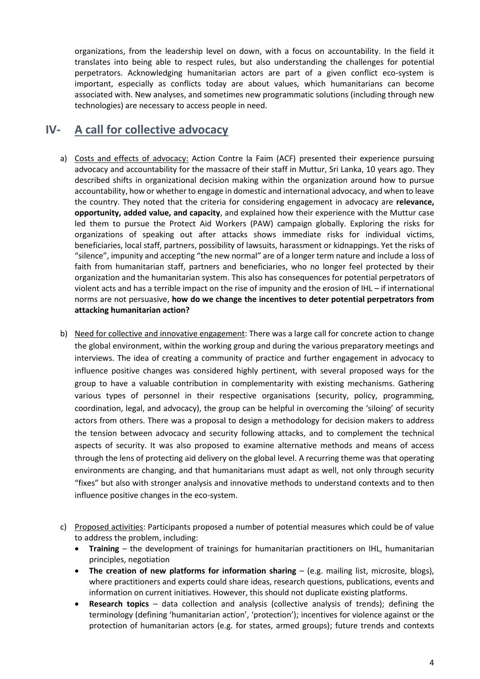organizations, from the leadership level on down, with a focus on accountability. In the field it translates into being able to respect rules, but also understanding the challenges for potential perpetrators. Acknowledging humanitarian actors are part of a given conflict eco-system is important, especially as conflicts today are about values, which humanitarians can become associated with. New analyses, and sometimes new programmatic solutions (including through new technologies) are necessary to access people in need.

### **IV- A call for collective advocacy**

- a) Costs and effects of advocacy: Action Contre la Faim (ACF) presented their experience pursuing advocacy and accountability for the massacre of their staff in Muttur, Sri Lanka, 10 years ago. They described shifts in organizational decision making within the organization around how to pursue accountability, how or whether to engage in domestic and international advocacy, and when to leave the country. They noted that the criteria for considering engagement in advocacy are **relevance, opportunity, added value, and capacity**, and explained how their experience with the Muttur case led them to pursue the Protect Aid Workers (PAW) campaign globally. Exploring the risks for organizations of speaking out after attacks shows immediate risks for individual victims, beneficiaries, local staff, partners, possibility of lawsuits, harassment or kidnappings. Yet the risks of "silence", impunity and accepting "the new normal" are of a longer term nature and include a loss of faith from humanitarian staff, partners and beneficiaries, who no longer feel protected by their organization and the humanitarian system. This also has consequences for potential perpetrators of violent acts and has a terrible impact on the rise of impunity and the erosion of IHL – if international norms are not persuasive, **how do we change the incentives to deter potential perpetrators from attacking humanitarian action?**
- b) Need for collective and innovative engagement: There was a large call for concrete action to change the global environment, within the working group and during the various preparatory meetings and interviews. The idea of creating a community of practice and further engagement in advocacy to influence positive changes was considered highly pertinent, with several proposed ways for the group to have a valuable contribution in complementarity with existing mechanisms. Gathering various types of personnel in their respective organisations (security, policy, programming, coordination, legal, and advocacy), the group can be helpful in overcoming the 'siloing' of security actors from others. There was a proposal to design a methodology for decision makers to address the tension between advocacy and security following attacks, and to complement the technical aspects of security. It was also proposed to examine alternative methods and means of access through the lens of protecting aid delivery on the global level. A recurring theme was that operating environments are changing, and that humanitarians must adapt as well, not only through security "fixes" but also with stronger analysis and innovative methods to understand contexts and to then influence positive changes in the eco-system.
- c) Proposed activities: Participants proposed a number of potential measures which could be of value to address the problem, including:
	- **Training** the development of trainings for humanitarian practitioners on IHL, humanitarian principles, negotiation
	- **The creation of new platforms for information sharing**  (e.g. mailing list, microsite, blogs), where practitioners and experts could share ideas, research questions, publications, events and information on current initiatives. However, this should not duplicate existing platforms.
	- **Research topics** data collection and analysis (collective analysis of trends); defining the terminology (defining 'humanitarian action', 'protection'); incentives for violence against or the protection of humanitarian actors (e.g. for states, armed groups); future trends and contexts